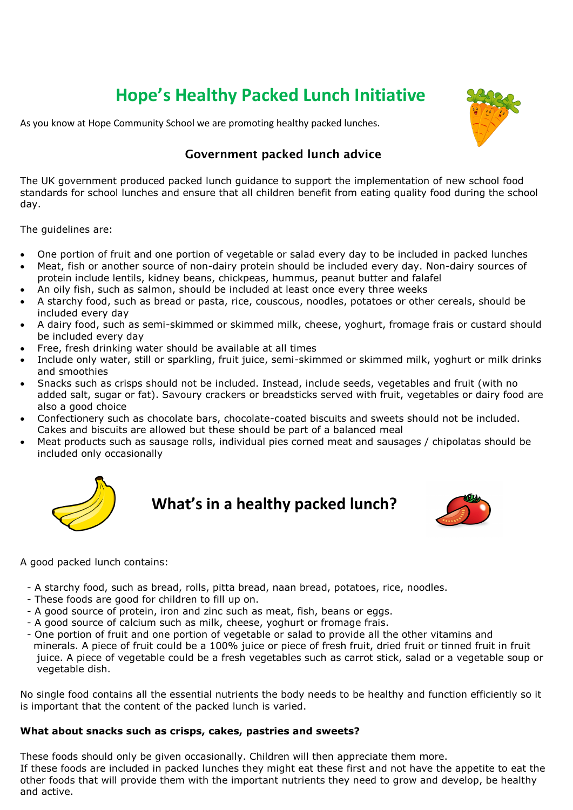# **Hope's Healthy Packed Lunch Initiative**

As you know at Hope Community School we are promoting healthy packed lunches.



## **Government packed lunch advice**

The UK government produced packed lunch guidance to support the implementation of new school food standards for school lunches and ensure that all children benefit from eating quality food during the school day.

The guidelines are:

- One portion of fruit and one portion of vegetable or salad every day to be included in packed lunches
- Meat, fish or another source of non-dairy protein should be included every day. Non-dairy sources of protein include lentils, kidney beans, chickpeas, hummus, peanut butter and falafel
- An oily fish, such as salmon, should be included at least once every three weeks
- A starchy food, such as bread or pasta, rice, couscous, noodles, potatoes or other cereals, should be included every day
- A dairy food, such as semi-skimmed or skimmed milk, cheese, yoghurt, fromage frais or custard should be included every day
- Free, fresh drinking water should be available at all times
- Include only water, still or sparkling, fruit juice, semi-skimmed or skimmed milk, yoghurt or milk drinks and smoothies
- Snacks such as crisps should not be included. Instead, include seeds, vegetables and fruit (with no added salt, sugar or fat). Savoury crackers or breadsticks served with fruit, vegetables or dairy food are also a good choice
- Confectionery such as chocolate bars, chocolate-coated biscuits and sweets should not be included. Cakes and biscuits are allowed but these should be part of a balanced meal
- Meat products such as sausage rolls, individual pies corned meat and sausages / chipolatas should be included only occasionally



**What's in a healthy packed lunch?**



A good packed lunch contains:

- A starchy food, such as bread, rolls, pitta bread, naan bread, potatoes, rice, noodles.
- These foods are good for children to fill up on.
- A good source of protein, iron and zinc such as meat, fish, beans or eggs.
- A good source of calcium such as milk, cheese, yoghurt or fromage frais.
- One portion of fruit and one portion of vegetable or salad to provide all the other vitamins and minerals. A piece of fruit could be a 100% juice or piece of fresh fruit, dried fruit or tinned fruit in fruit juice. A piece of vegetable could be a fresh vegetables such as carrot stick, salad or a vegetable soup or vegetable dish.

No single food contains all the essential nutrients the body needs to be healthy and function efficiently so it is important that the content of the packed lunch is varied.

### **What about snacks such as crisps, cakes, pastries and sweets?**

These foods should only be given occasionally. Children will then appreciate them more. If these foods are included in packed lunches they might eat these first and not have the appetite to eat the other foods that will provide them with the important nutrients they need to grow and develop, be healthy and active.